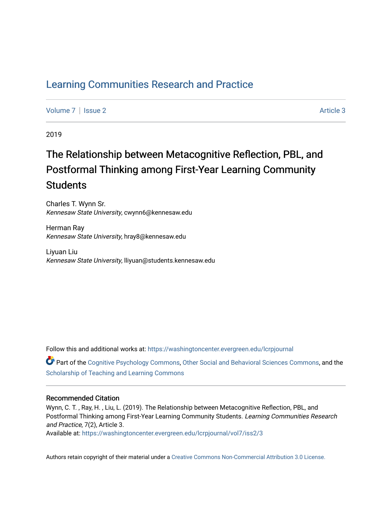# [Learning Communities Research and Practice](https://washingtoncenter.evergreen.edu/lcrpjournal)

[Volume 7](https://washingtoncenter.evergreen.edu/lcrpjournal/vol7) | [Issue 2](https://washingtoncenter.evergreen.edu/lcrpjournal/vol7/iss2) Article 3

2019

# The Relationship between Metacognitive Reflection, PBL, and Postformal Thinking among First-Year Learning Community **Students**

Charles T. Wynn Sr. Kennesaw State University, cwynn6@kennesaw.edu

Herman Ray Kennesaw State University, hray8@kennesaw.edu

Liyuan Liu Kennesaw State University, lliyuan@students.kennesaw.edu

Follow this and additional works at: [https://washingtoncenter.evergreen.edu/lcrpjournal](https://washingtoncenter.evergreen.edu/lcrpjournal?utm_source=washingtoncenter.evergreen.edu%2Flcrpjournal%2Fvol7%2Fiss2%2F3&utm_medium=PDF&utm_campaign=PDFCoverPages) 

Part of the [Cognitive Psychology Commons,](http://network.bepress.com/hgg/discipline/408?utm_source=washingtoncenter.evergreen.edu%2Flcrpjournal%2Fvol7%2Fiss2%2F3&utm_medium=PDF&utm_campaign=PDFCoverPages) [Other Social and Behavioral Sciences Commons](http://network.bepress.com/hgg/discipline/437?utm_source=washingtoncenter.evergreen.edu%2Flcrpjournal%2Fvol7%2Fiss2%2F3&utm_medium=PDF&utm_campaign=PDFCoverPages), and the [Scholarship of Teaching and Learning Commons](http://network.bepress.com/hgg/discipline/1328?utm_source=washingtoncenter.evergreen.edu%2Flcrpjournal%2Fvol7%2Fiss2%2F3&utm_medium=PDF&utm_campaign=PDFCoverPages) 

#### Recommended Citation

Wynn, C. T. , Ray, H. , Liu, L. (2019). The Relationship between Metacognitive Reflection, PBL, and Postformal Thinking among First-Year Learning Community Students. Learning Communities Research and Practice, 7(2), Article 3.

Available at: [https://washingtoncenter.evergreen.edu/lcrpjournal/vol7/iss2/3](https://washingtoncenter.evergreen.edu/lcrpjournal/vol7/iss2/3?utm_source=washingtoncenter.evergreen.edu%2Flcrpjournal%2Fvol7%2Fiss2%2F3&utm_medium=PDF&utm_campaign=PDFCoverPages) 

Authors retain copyright of their material under a [Creative Commons Non-Commercial Attribution 3.0 License.](http://creativecommons.org/licenses/by-nc/3.0/)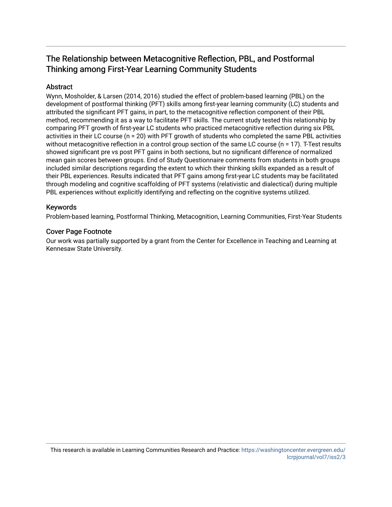# The Relationship between Metacognitive Reflection, PBL, and Postformal Thinking among First-Year Learning Community Students

# Abstract

Wynn, Mosholder, & Larsen (2014, 2016) studied the effect of problem-based learning (PBL) on the development of postformal thinking (PFT) skills among first-year learning community (LC) students and attributed the significant PFT gains, in part, to the metacognitive reflection component of their PBL method, recommending it as a way to facilitate PFT skills. The current study tested this relationship by comparing PFT growth of first-year LC students who practiced metacognitive reflection during six PBL activities in their LC course (n = 20) with PFT growth of students who completed the same PBL activities without metacognitive reflection in a control group section of the same LC course (n = 17). T-Test results showed significant pre vs post PFT gains in both sections, but no significant difference of normalized mean gain scores between groups. End of Study Questionnaire comments from students in both groups included similar descriptions regarding the extent to which their thinking skills expanded as a result of their PBL experiences. Results indicated that PFT gains among first-year LC students may be facilitated through modeling and cognitive scaffolding of PFT systems (relativistic and dialectical) during multiple PBL experiences without explicitly identifying and reflecting on the cognitive systems utilized.

## Keywords

Problem-based learning, Postformal Thinking, Metacognition, Learning Communities, First-Year Students

#### Cover Page Footnote

Our work was partially supported by a grant from the Center for Excellence in Teaching and Learning at Kennesaw State University.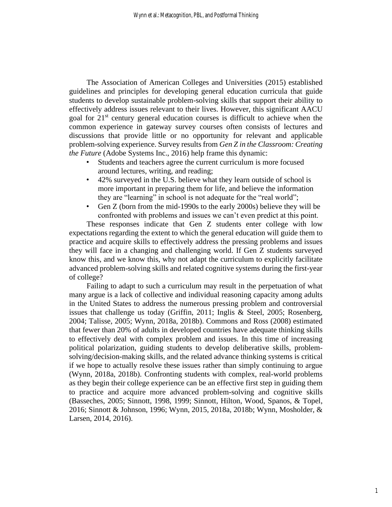The Association of American Colleges and Universities (2015) established guidelines and principles for developing general education curricula that guide students to develop sustainable problem-solving skills that support their ability to effectively address issues relevant to their lives. However, this significant AACU goal for  $21<sup>st</sup>$  century general education courses is difficult to achieve when the common experience in gateway survey courses often consists of lectures and discussions that provide little or no opportunity for relevant and applicable problem-solving experience. Survey results from *Gen Z in the Classroom: Creating the Future* (Adobe Systems Inc., 2016) help frame this dynamic:

- Students and teachers agree the current curriculum is more focused around lectures, writing, and reading;
- 42% surveyed in the U.S. believe what they learn outside of school is more important in preparing them for life, and believe the information they are "learning" in school is not adequate for the "real world";
- Gen Z (born from the mid-1990s to the early 2000s) believe they will be confronted with problems and issues we can't even predict at this point.

These responses indicate that Gen Z students enter college with low expectations regarding the extent to which the general education will guide them to practice and acquire skills to effectively address the pressing problems and issues they will face in a changing and challenging world. If Gen Z students surveyed know this, and we know this, why not adapt the curriculum to explicitly facilitate advanced problem-solving skills and related cognitive systems during the first-year of college?

Failing to adapt to such a curriculum may result in the perpetuation of what many argue is a lack of collective and individual reasoning capacity among adults in the United States to address the numerous pressing problem and controversial issues that challenge us today (Griffin, 2011; Inglis & Steel, 2005; Rosenberg, 2004; Talisse, 2005; Wynn, 2018a, 2018b). Commons and Ross (2008) estimated that fewer than 20% of adults in developed countries have adequate thinking skills to effectively deal with complex problem and issues. In this time of increasing political polarization, guiding students to develop deliberative skills, problemsolving/decision-making skills, and the related advance thinking systems is critical if we hope to actually resolve these issues rather than simply continuing to argue (Wynn, 2018a, 2018b). Confronting students with complex, real-world problems as they begin their college experience can be an effective first step in guiding them to practice and acquire more advanced problem-solving and cognitive skills (Basseches, 2005; Sinnott, 1998, 1999; Sinnott, Hilton, Wood, Spanos, & Topel, 2016; Sinnott & Johnson, 1996; Wynn, 2015, 2018a, 2018b; Wynn, Mosholder, & Larsen, 2014, 2016).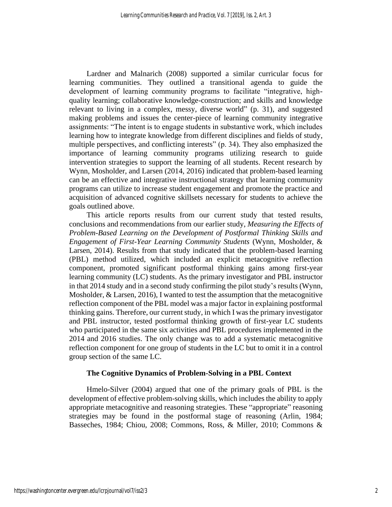Lardner and Malnarich (2008) supported a similar curricular focus for learning communities. They outlined a transitional agenda to guide the development of learning community programs to facilitate "integrative, highquality learning; collaborative knowledge-construction; and skills and knowledge relevant to living in a complex, messy, diverse world" (p. 31), and suggested making problems and issues the center-piece of learning community integrative assignments: "The intent is to engage students in substantive work, which includes learning how to integrate knowledge from different disciplines and fields of study, multiple perspectives, and conflicting interests" (p. 34). They also emphasized the importance of learning community programs utilizing research to guide intervention strategies to support the learning of all students. Recent research by Wynn, Mosholder, and Larsen (2014, 2016) indicated that problem-based learning can be an effective and integrative instructional strategy that learning community programs can utilize to increase student engagement and promote the practice and acquisition of advanced cognitive skillsets necessary for students to achieve the goals outlined above.

This article reports results from our current study that tested results, conclusions and recommendations from our earlier study, *Measuring the Effects of Problem-Based Learning on the Development of Postformal Thinking Skills and Engagement of First-Year Learning Community Students* (Wynn, Mosholder, & Larsen, 2014). Results from that study indicated that the problem-based learning (PBL) method utilized, which included an explicit metacognitive reflection component, promoted significant postformal thinking gains among first-year learning community (LC) students. As the primary investigator and PBL instructor in that 2014 study and in a second study confirming the pilot study's results (Wynn, Mosholder, & Larsen, 2016), I wanted to test the assumption that the metacognitive reflection component of the PBL model was a major factor in explaining postformal thinking gains. Therefore, our current study, in which I was the primary investigator and PBL instructor, tested postformal thinking growth of first-year LC students who participated in the same six activities and PBL procedures implemented in the 2014 and 2016 studies. The only change was to add a systematic metacognitive reflection component for one group of students in the LC but to omit it in a control group section of the same LC.

#### **The Cognitive Dynamics of Problem-Solving in a PBL Context**

Hmelo-Silver (2004) argued that one of the primary goals of PBL is the development of effective problem-solving skills, which includes the ability to apply appropriate metacognitive and reasoning strategies. These "appropriate" reasoning strategies may be found in the postformal stage of reasoning (Arlin, 1984; Basseches, 1984; Chiou, 2008; Commons, Ross, & Miller, 2010; Commons &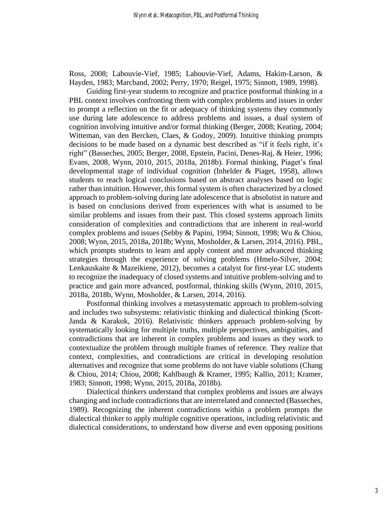Ross, 2008; Labouvie-Vief, 1985; Labouvie-Vief, Adams, Hakim-Larson, & Hayden, 1983; Marchand, 2002; Perry, 1970; Reigel, 1975; Sinnott, 1989, 1998).

Guiding first-year students to recognize and practice postformal thinking in a PBL context involves confronting them with complex problems and issues in order to prompt a reflection on the fit or adequacy of thinking systems they commonly use during late adolescence to address problems and issues, a dual system of cognition involving intuitive and/or formal thinking (Berger, 2008; Keating, 2004; Witteman, van den Bercken, Claes, & Godoy, 2009). Intuitive thinking prompts decisions to be made based on a dynamic best described as "if it feels right, it's right" (Basseches, 2005; Berger, 2008, Epstein, Pacini, Denes-Raj, & Heier, 1996; Evans, 2008, Wynn, 2010, 2015, 2018a, 2018b). Formal thinking, Piaget's final developmental stage of individual cognition (Inhelder & Piaget, 1958), allows students to reach logical conclusions based on abstract analyses based on logic rather than intuition. However, this formal system is often characterized by a closed approach to problem-solving during late adolescence that is absolutist in nature and is based on conclusions derived from experiences with what is assumed to be similar problems and issues from their past. This closed systems approach limits consideration of complexities and contradictions that are inherent in real-world complex problems and issues (Sebby & Papini, 1994; Sinnott, 1998; Wu & Chiou, 2008; Wynn, 2015, 2018a, 2018b; Wynn, Mosholder, & Larsen, 2014, 2016). PBL, which prompts students to learn and apply content and more advanced thinking strategies through the experience of solving problems (Hmelo-Silver, 2004; Lenkauskaite & Mazeikiene, 2012), becomes a catalyst for first-year LC students to recognize the inadequacy of closed systems and intuitive problem-solving and to practice and gain more advanced, postformal, thinking skills (Wynn, 2010, 2015, 2018a, 2018b, Wynn, Mosholder, & Larsen, 2014, 2016).

Postformal thinking involves a metasystematic approach to problem-solving and includes two subsystems: relativistic thinking and dialectical thinking (Scott-Janda & Karakok, 2016). Relativistic thinkers approach problem-solving by systematically looking for multiple truths, multiple perspectives, ambiguities, and contradictions that are inherent in complex problems and issues as they work to contextualize the problem through multiple frames of reference. They realize that context, complexities, and contradictions are critical in developing resolution alternatives and recognize that some problems do not have viable solutions (Chang & Chiou, 2014; Chiou, 2008; Kahlbaugh & Kramer, 1995; Kallio, 2011; Kramer, 1983; Sinnott, 1998; Wynn, 2015, 2018a, 2018b).

Dialectical thinkers understand that complex problems and issues are always changing and include contradictions that are interrelated and connected (Basseches, 1989). Recognizing the inherent contradictions within a problem prompts the dialectical thinker to apply multiple cognitive operations, including relativistic and dialectical considerations, to understand how diverse and even opposing positions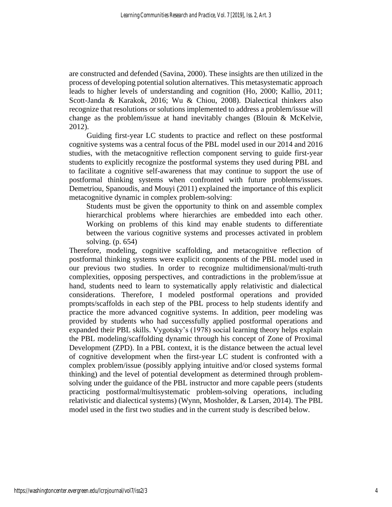are constructed and defended (Savina, 2000). These insights are then utilized in the process of developing potential solution alternatives. This metasystematic approach leads to higher levels of understanding and cognition (Ho, 2000; Kallio, 2011; Scott-Janda & Karakok, 2016; Wu & Chiou, 2008). Dialectical thinkers also recognize that resolutions or solutions implemented to address a problem/issue will change as the problem/issue at hand inevitably changes (Blouin & McKelvie, 2012).

Guiding first-year LC students to practice and reflect on these postformal cognitive systems was a central focus of the PBL model used in our 2014 and 2016 studies, with the metacognitive reflection component serving to guide first-year students to explicitly recognize the postformal systems they used during PBL and to facilitate a cognitive self-awareness that may continue to support the use of postformal thinking systems when confronted with future problems/issues. Demetriou, Spanoudis, and Mouyi (2011) explained the importance of this explicit metacognitive dynamic in complex problem-solving:

Students must be given the opportunity to think on and assemble complex hierarchical problems where hierarchies are embedded into each other. Working on problems of this kind may enable students to differentiate between the various cognitive systems and processes activated in problem solving. (p. 654)

Therefore, modeling, cognitive scaffolding, and metacognitive reflection of postformal thinking systems were explicit components of the PBL model used in our previous two studies. In order to recognize multidimensional/multi-truth complexities, opposing perspectives, and contradictions in the problem/issue at hand, students need to learn to systematically apply relativistic and dialectical considerations. Therefore, I modeled postformal operations and provided prompts/scaffolds in each step of the PBL process to help students identify and practice the more advanced cognitive systems. In addition, peer modeling was provided by students who had successfully applied postformal operations and expanded their PBL skills. Vygotsky's (1978) social learning theory helps explain the PBL modeling/scaffolding dynamic through his concept of Zone of Proximal Development (ZPD). In a PBL context, it is the distance between the actual level of cognitive development when the first-year LC student is confronted with a complex problem/issue (possibly applying intuitive and/or closed systems formal thinking) and the level of potential development as determined through problemsolving under the guidance of the PBL instructor and more capable peers (students practicing postformal/multisystematic problem-solving operations, including relativistic and dialectical systems) (Wynn, Mosholder, & Larsen, 2014). The PBL model used in the first two studies and in the current study is described below.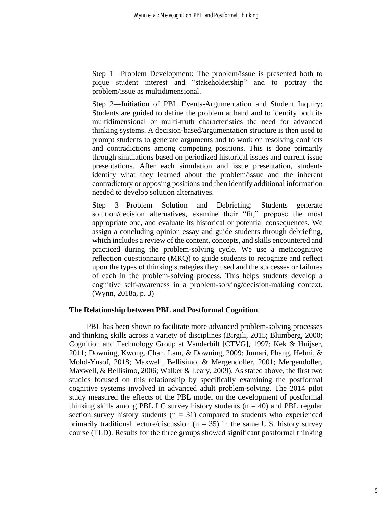Step 1—Problem Development: The problem/issue is presented both to pique student interest and "stakeholdership" and to portray the problem/issue as multidimensional.

Step 2—Initiation of PBL Events-Argumentation and Student Inquiry: Students are guided to define the problem at hand and to identify both its multidimensional or multi-truth characteristics the need for advanced thinking systems. A decision-based/argumentation structure is then used to prompt students to generate arguments and to work on resolving conflicts and contradictions among competing positions. This is done primarily through simulations based on periodized historical issues and current issue presentations. After each simulation and issue presentation, students identify what they learned about the problem/issue and the inherent contradictory or opposing positions and then identify additional information needed to develop solution alternatives.

Step 3—Problem Solution and Debriefing: Students generate solution/decision alternatives, examine their "fit," propose the most appropriate one, and evaluate its historical or potential consequences. We assign a concluding opinion essay and guide students through debriefing, which includes a review of the content, concepts, and skills encountered and practiced during the problem-solving cycle. We use a metacognitive reflection questionnaire (MRQ) to guide students to recognize and reflect upon the types of thinking strategies they used and the successes or failures of each in the problem-solving process. This helps students develop a cognitive self-awareness in a problem-solving/decision-making context. (Wynn, 2018a, p. 3)

#### **The Relationship between PBL and Postformal Cognition**

PBL has been shown to facilitate more advanced problem-solving processes and thinking skills across a variety of disciplines (Birgili, 2015; Blumberg, 2000; Cognition and Technology Group at Vanderbilt [CTVG], 1997; Kek & Huijser, 2011; Downing, Kwong, Chan, Lam, & Downing, 2009; Jumari, Phang, Helmi, & Mohd-Yusof, 2018; Maxwell, Bellisimo, & Mergendoller, 2001; Mergendoller, Maxwell, & Bellisimo, 2006; Walker & Leary, 2009). As stated above, the first two studies focused on this relationship by specifically examining the postformal cognitive systems involved in advanced adult problem-solving. The 2014 pilot study measured the effects of the PBL model on the development of postformal thinking skills among PBL LC survey history students  $(n = 40)$  and PBL regular section survey history students  $(n = 31)$  compared to students who experienced primarily traditional lecture/discussion ( $n = 35$ ) in the same U.S. history survey course (TLD). Results for the three groups showed significant postformal thinking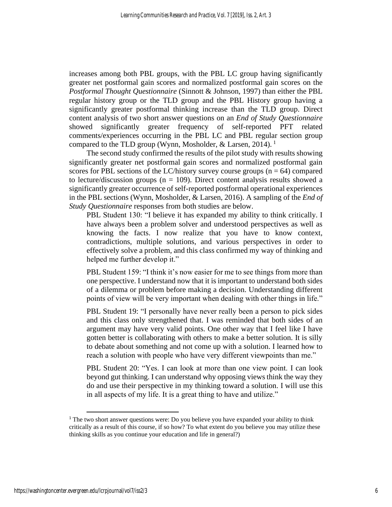increases among both PBL groups, with the PBL LC group having significantly greater net postformal gain scores and normalized postformal gain scores on the *Postformal Thought Questionnaire* (Sinnott & Johnson, 1997) than either the PBL regular history group or the TLD group and the PBL History group having a significantly greater postformal thinking increase than the TLD group. Direct content analysis of two short answer questions on an *End of Study Questionnaire* showed significantly greater frequency of self-reported PFT related comments/experiences occurring in the PBL LC and PBL regular section group compared to the TLD group (Wynn, Mosholder, & Larsen, 2014).<sup>1</sup>

The second study confirmed the results of the pilot study with results showing significantly greater net postformal gain scores and normalized postformal gain scores for PBL sections of the LC/history survey course groups  $(n = 64)$  compared to lecture/discussion groups ( $n = 109$ ). Direct content analysis results showed a significantly greater occurrence of self-reported postformal operational experiences in the PBL sections (Wynn, Mosholder, & Larsen, 2016). A sampling of the *End of Study Questionnaire* responses from both studies are below.

PBL Student 130: "I believe it has expanded my ability to think critically. I have always been a problem solver and understood perspectives as well as knowing the facts. I now realize that you have to know context, contradictions, multiple solutions, and various perspectives in order to effectively solve a problem, and this class confirmed my way of thinking and helped me further develop it."

PBL Student 159: "I think it's now easier for me to see things from more than one perspective. I understand now that it is important to understand both sides of a dilemma or problem before making a decision. Understanding different points of view will be very important when dealing with other things in life."

PBL Student 19: "I personally have never really been a person to pick sides and this class only strengthened that. I was reminded that both sides of an argument may have very valid points. One other way that I feel like I have gotten better is collaborating with others to make a better solution. It is silly to debate about something and not come up with a solution. I learned how to reach a solution with people who have very different viewpoints than me."

PBL Student 20: "Yes. I can look at more than one view point. I can look beyond gut thinking. I can understand why opposing views think the way they do and use their perspective in my thinking toward a solution. I will use this in all aspects of my life. It is a great thing to have and utilize."

<sup>&</sup>lt;sup>1</sup> The two short answer questions were: Do you believe you have expanded your ability to think critically as a result of this course, if so how? To what extent do you believe you may utilize these thinking skills as you continue your education and life in general?)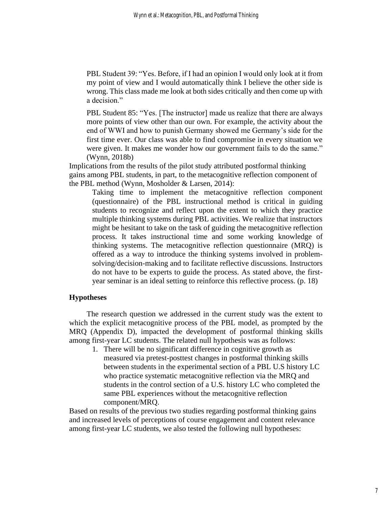PBL Student 39: "Yes. Before, if I had an opinion I would only look at it from my point of view and I would automatically think I believe the other side is wrong. This class made me look at both sides critically and then come up with a decision."

PBL Student 85: "Yes. [The instructor] made us realize that there are always more points of view other than our own. For example, the activity about the end of WWI and how to punish Germany showed me Germany's side for the first time ever. Our class was able to find compromise in every situation we were given. It makes me wonder how our government fails to do the same." (Wynn, 2018b)

Implications from the results of the pilot study attributed postformal thinking gains among PBL students, in part, to the metacognitive reflection component of the PBL method (Wynn, Mosholder & Larsen, 2014):

Taking time to implement the metacognitive reflection component (questionnaire) of the PBL instructional method is critical in guiding students to recognize and reflect upon the extent to which they practice multiple thinking systems during PBL activities. We realize that instructors might be hesitant to take on the task of guiding the metacognitive reflection process. It takes instructional time and some working knowledge of thinking systems. The metacognitive reflection questionnaire (MRQ) is offered as a way to introduce the thinking systems involved in problemsolving/decision-making and to facilitate reflective discussions. Instructors do not have to be experts to guide the process. As stated above, the firstyear seminar is an ideal setting to reinforce this reflective process. (p. 18)

#### **Hypotheses**

The research question we addressed in the current study was the extent to which the explicit metacognitive process of the PBL model, as prompted by the MRQ (Appendix D), impacted the development of postformal thinking skills among first-year LC students. The related null hypothesis was as follows:

1. There will be no significant difference in cognitive growth as measured via pretest-posttest changes in postformal thinking skills between students in the experimental section of a PBL U.S history LC who practice systematic metacognitive reflection via the MRQ and students in the control section of a U.S. history LC who completed the same PBL experiences without the metacognitive reflection component/MRQ.

Based on results of the previous two studies regarding postformal thinking gains and increased levels of perceptions of course engagement and content relevance among first-year LC students, we also tested the following null hypotheses: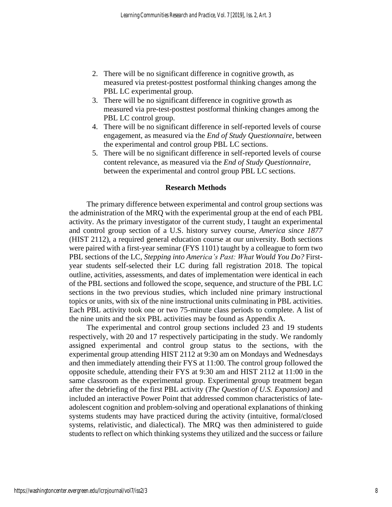- 2. There will be no significant difference in cognitive growth, as measured via pretest-posttest postformal thinking changes among the PBL LC experimental group.
- 3. There will be no significant difference in cognitive growth as measured via pre-test-posttest postformal thinking changes among the PBL LC control group.
- 4. There will be no significant difference in self-reported levels of course engagement, as measured via the *End of Study Questionnaire*, between the experimental and control group PBL LC sections.
- 5. There will be no significant difference in self-reported levels of course content relevance, as measured via the *End of Study Questionnaire*, between the experimental and control group PBL LC sections.

#### **Research Methods**

The primary difference between experimental and control group sections was the administration of the MRQ with the experimental group at the end of each PBL activity. As the primary investigator of the current study, I taught an experimental and control group section of a U.S. history survey course, *America since 1877* (HIST 2112), a required general education course at our university. Both sections were paired with a first-year seminar (FYS 1101) taught by a colleague to form two PBL sections of the LC, *Stepping into America's Past: What Would You Do?* Firstyear students self-selected their LC during fall registration 2018. The topical outline, activities, assessments, and dates of implementation were identical in each of the PBL sections and followed the scope, sequence, and structure of the PBL LC sections in the two previous studies, which included nine primary instructional topics or units, with six of the nine instructional units culminating in PBL activities. Each PBL activity took one or two 75-minute class periods to complete. A list of the nine units and the six PBL activities may be found as Appendix A.

The experimental and control group sections included 23 and 19 students respectively, with 20 and 17 respectively participating in the study. We randomly assigned experimental and control group status to the sections, with the experimental group attending HIST 2112 at 9:30 am on Mondays and Wednesdays and then immediately attending their FYS at 11:00. The control group followed the opposite schedule, attending their FYS at 9:30 am and HIST 2112 at 11:00 in the same classroom as the experimental group. Experimental group treatment began after the debriefing of the first PBL activity (*The Question of U.S. Expansion)* and included an interactive Power Point that addressed common characteristics of lateadolescent cognition and problem-solving and operational explanations of thinking systems students may have practiced during the activity (intuitive, formal/closed systems, relativistic, and dialectical). The MRQ was then administered to guide students to reflect on which thinking systems they utilized and the success or failure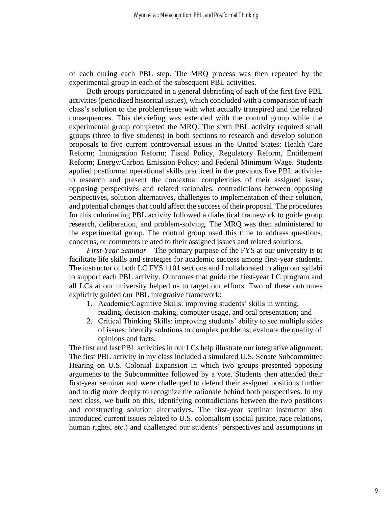of each during each PBL step. The MRQ process was then repeated by the experimental group in each of the subsequent PBL activities.

Both groups participated in a general debriefing of each of the first five PBL activities (periodized historical issues), which concluded with a comparison of each class's solution to the problem/issue with what actually transpired and the related consequences. This debriefing was extended with the control group while the experimental group completed the MRQ. The sixth PBL activity required small groups (three to five students) in both sections to research and develop solution proposals to five current controversial issues in the United States: Health Care Reform; Immigration Reform; Fiscal Policy, Regulatory Reform, Entitlement Reform; Energy/Carbon Emission Policy; and Federal Minimum Wage. Students applied postformal operational skills practiced in the previous five PBL activities to research and present the contextual complexities of their assigned issue, opposing perspectives and related rationales, contradictions between opposing perspectives, solution alternatives, challenges to implementation of their solution, and potential changes that could affect the success of their proposal. The procedures for this culminating PBL activity followed a dialectical framework to guide group research, deliberation, and problem-solving. The MRQ was then administered to the experimental group. The control group used this time to address questions, concerns, or comments related to their assigned issues and related solutions.

*First-Year Seminar* – The primary purpose of the FYS at our university is to facilitate life skills and strategies for academic success among first-year students. The instructor of both LC FYS 1101 sections and I collaborated to align our syllabi to support each PBL activity. Outcomes that guide the first-year LC program and all LCs at our university helped us to target our efforts. Two of these outcomes explicitly guided our PBL integrative framework:

- 1. Academic/Cognitive Skills: improving students' skills in writing, reading, decision-making, computer usage, and oral presentation; and
- 2. Critical Thinking Skills: improving students' ability to see multiple sides of issues; identify solutions to complex problems; evaluate the quality of opinions and facts.

The first and last PBL activities in our LCs help illustrate our integrative alignment. The first PBL activity in my class included a simulated U.S. Senate Subcommittee Hearing on U.S. Colonial Expansion in which two groups presented opposing arguments to the Subcommittee followed by a vote. Students then attended their first-year seminar and were challenged to defend their assigned positions further and to dig more deeply to recognize the rationale behind both perspectives. In my next class, we built on this, identifying contradictions between the two positions and constructing solution alternatives. The first-year seminar instructor also introduced current issues related to U.S. colonialism (social justice, race relations, human rights, etc.) and challenged our students' perspectives and assumptions in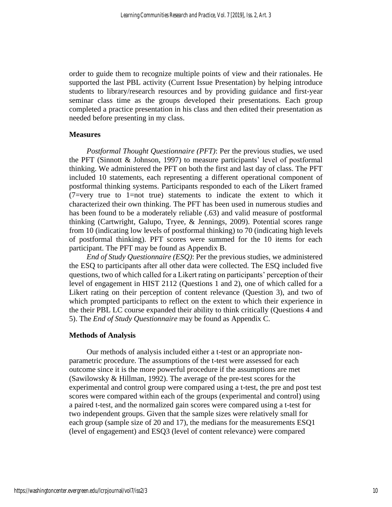order to guide them to recognize multiple points of view and their rationales. He supported the last PBL activity (Current Issue Presentation) by helping introduce students to library/research resources and by providing guidance and first-year seminar class time as the groups developed their presentations. Each group completed a practice presentation in his class and then edited their presentation as needed before presenting in my class.

#### **Measures**

*Postformal Thought Questionnaire (PFT)*: Per the previous studies, we used the PFT (Sinnott & Johnson, 1997) to measure participants' level of postformal thinking. We administered the PFT on both the first and last day of class. The PFT included 10 statements, each representing a different operational component of postformal thinking systems. Participants responded to each of the Likert framed (7=very true to 1=not true) statements to indicate the extent to which it characterized their own thinking. The PFT has been used in numerous studies and has been found to be a moderately reliable (.63) and valid measure of postformal thinking (Cartwright, Galupo, Tryee, & Jennings, 2009). Potential scores range from 10 (indicating low levels of postformal thinking) to 70 (indicating high levels of postformal thinking). PFT scores were summed for the 10 items for each participant. The PFT may be found as Appendix B.

*End of Study Questionnaire (ESQ)*: Per the previous studies, we administered the ESQ to participants after all other data were collected. The ESQ included five questions, two of which called for a Likert rating on participants' perception of their level of engagement in HIST 2112 (Questions 1 and 2), one of which called for a Likert rating on their perception of content relevance (Question 3), and two of which prompted participants to reflect on the extent to which their experience in the their PBL LC course expanded their ability to think critically (Questions 4 and 5). The *End of Study Questionnaire* may be found as Appendix C.

#### **Methods of Analysis**

Our methods of analysis included either a t-test or an appropriate nonparametric procedure. The assumptions of the t-test were assessed for each outcome since it is the more powerful procedure if the assumptions are met (Sawilowsky & Hillman, 1992). The average of the pre-test scores for the experimental and control group were compared using a t-test, the pre and post test scores were compared within each of the groups (experimental and control) using a paired t-test, and the normalized gain scores were compared using a t-test for two independent groups. Given that the sample sizes were relatively small for each group (sample size of 20 and 17), the medians for the measurements ESQ1 (level of engagement) and ESQ3 (level of content relevance) were compared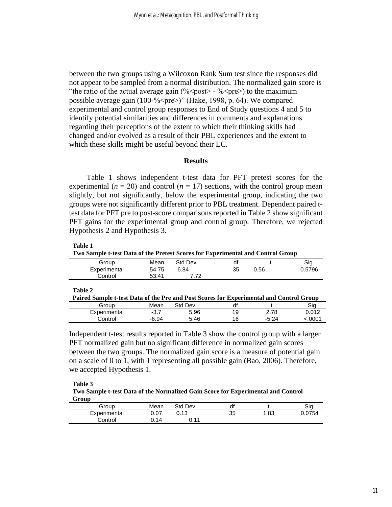between the two groups using a Wilcoxon Rank Sum test since the responses did not appear to be sampled from a normal distribution. The normalized gain score is "the ratio of the actual average gain  $(\frac{6}{5} \text{post} > \frac{6}{5} \text{pre})$  to the maximum possible average gain (100-%<pre>)" (Hake, 1998, p. 64). We compared experimental and control group responses to End of Study questions 4 and 5 to identify potential similarities and differences in comments and explanations regarding their perceptions of the extent to which their thinking skills had changed and/or evolved as a result of their PBL experiences and the extent to which these skills might be useful beyond their LC.

#### **Results**

Table 1 shows independent t-test data for PFT pretest scores for the experimental  $(n = 20)$  and control  $(n = 17)$  sections, with the control group mean slightly, but not significantly, below the experimental group, indicating the two groups were not significantly different prior to PBL treatment. Dependent paired ttest data for PFT pre to post-score comparisons reported in Table 2 show significant PFT gains for the experimental group and control group. Therefore, we rejected Hypothesis 2 and Hypothesis 3.

**Table 1**

**Two Sample t-test Data of the Pretest Scores for Experimental and Control Group**

|              |       |         |    |      | -      |
|--------------|-------|---------|----|------|--------|
| Group        | Mean  | Std Dev |    |      | Sig    |
| Experimental | 54.75 | 6.84    | 35 | 0.56 | 0.5796 |
| Control      | 53.41 | 7 70    |    |      |        |
|              |       |         |    |      |        |

**Table 2**

| Paired Sample t-test Data of the Pre and Post Scores for Experimental and Control Group |        |         |    |         |        |
|-----------------------------------------------------------------------------------------|--------|---------|----|---------|--------|
| Group                                                                                   | Mean   | Std Dev | df |         | Sig.   |
| Experimental                                                                            | $-3.7$ | 5.96    | 19 | 2.78    | 0.012  |
| Control                                                                                 | -6.94  | 5.46    | 16 | $-5.24$ | <.0001 |

Independent t-test results reported in Table 3 show the control group with a larger PFT normalized gain but no significant difference in normalized gain scores between the two groups. The normalized gain score is a measure of potential gain on a scale of 0 to 1, with 1 representing all possible gain (Bao, 2006). Therefore, we accepted Hypothesis 1.

**Table 3**

**Two Sample t-test Data of the Normalized Gain Score for Experimental and Control Group**

| Group        | Mean | Std Dev | df |     | Sia    |
|--------------|------|---------|----|-----|--------|
| Experimental | 0.07 | 0.13    | 35 | .83 | 0.0754 |
| Control      | 14،  | 14      |    |     |        |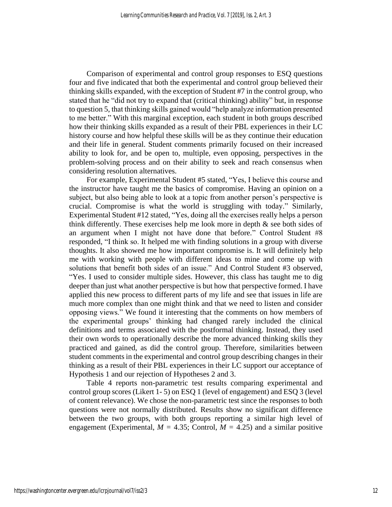Comparison of experimental and control group responses to ESQ questions four and five indicated that both the experimental and control group believed their thinking skills expanded, with the exception of Student #7 in the control group, who stated that he "did not try to expand that (critical thinking) ability" but, in response to question 5, that thinking skills gained would "help analyze information presented to me better." With this marginal exception, each student in both groups described how their thinking skills expanded as a result of their PBL experiences in their LC history course and how helpful these skills will be as they continue their education and their life in general. Student comments primarily focused on their increased ability to look for, and be open to, multiple, even opposing, perspectives in the problem-solving process and on their ability to seek and reach consensus when considering resolution alternatives.

For example, Experimental Student #5 stated, "Yes, I believe this course and the instructor have taught me the basics of compromise. Having an opinion on a subject, but also being able to look at a topic from another person's perspective is crucial. Compromise is what the world is struggling with today." Similarly, Experimental Student #12 stated, "Yes, doing all the exercises really helps a person think differently. These exercises help me look more in depth  $\&$  see both sides of an argument when I might not have done that before." Control Student #8 responded, "I think so. It helped me with finding solutions in a group with diverse thoughts. It also showed me how important compromise is. It will definitely help me with working with people with different ideas to mine and come up with solutions that benefit both sides of an issue." And Control Student #3 observed, "Yes. I used to consider multiple sides. However, this class has taught me to dig deeper than just what another perspective is but how that perspective formed. I have applied this new process to different parts of my life and see that issues in life are much more complex than one might think and that we need to listen and consider opposing views." We found it interesting that the comments on how members of the experimental groups' thinking had changed rarely included the clinical definitions and terms associated with the postformal thinking. Instead, they used their own words to operationally describe the more advanced thinking skills they practiced and gained, as did the control group. Therefore, similarities between student comments in the experimental and control group describing changes in their thinking as a result of their PBL experiences in their LC support our acceptance of Hypothesis 1 and our rejection of Hypotheses 2 and 3.

Table 4 reports non-parametric test results comparing experimental and control group scores (Likert 1- 5) on ESQ 1 (level of engagement) and ESQ 3 (level of content relevance). We chose the non-parametric test since the responses to both questions were not normally distributed. Results show no significant difference between the two groups, with both groups reporting a similar high level of engagement (Experimental,  $M = 4.35$ ; Control,  $M = 4.25$ ) and a similar positive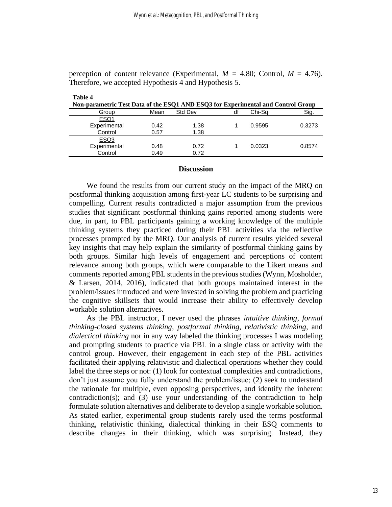perception of content relevance (Experimental,  $M = 4.80$ ; Control,  $M = 4.76$ ). Therefore, we accepted Hypothesis 4 and Hypothesis 5.

| Non-parametric Test Data of the ESQ1 AND ESQ3 for Experimental and Control Group |                |    |         |        |  |  |
|----------------------------------------------------------------------------------|----------------|----|---------|--------|--|--|
| Mean                                                                             | <b>Std Dev</b> | df | Chi-Sa. | Sig.   |  |  |
|                                                                                  |                |    |         |        |  |  |
| 0.42                                                                             | 1.38           |    | 0.9595  | 0.3273 |  |  |
| 0.57                                                                             | 1.38           |    |         |        |  |  |
|                                                                                  |                |    |         |        |  |  |
| 0.48                                                                             | 0.72           |    | 0.0323  | 0.8574 |  |  |
| 0.49                                                                             | 0.72           |    |         |        |  |  |
|                                                                                  |                |    |         |        |  |  |

#### **Discussion**

We found the results from our current study on the impact of the MRQ on postformal thinking acquisition among first-year LC students to be surprising and compelling. Current results contradicted a major assumption from the previous studies that significant postformal thinking gains reported among students were due, in part, to PBL participants gaining a working knowledge of the multiple thinking systems they practiced during their PBL activities via the reflective processes prompted by the MRQ. Our analysis of current results yielded several key insights that may help explain the similarity of postformal thinking gains by both groups. Similar high levels of engagement and perceptions of content relevance among both groups, which were comparable to the Likert means and comments reported among PBL students in the previous studies (Wynn, Mosholder, & Larsen, 2014, 2016), indicated that both groups maintained interest in the problem/issues introduced and were invested in solving the problem and practicing the cognitive skillsets that would increase their ability to effectively develop workable solution alternatives.

As the PBL instructor, I never used the phrases *intuitive thinking*, *formal thinking-closed systems thinking*, *postformal thinking*, *relativistic thinking*, and *dialectical thinking* nor in any way labeled the thinking processes I was modeling and prompting students to practice via PBL in a single class or activity with the control group. However, their engagement in each step of the PBL activities facilitated their applying relativistic and dialectical operations whether they could label the three steps or not: (1) look for contextual complexities and contradictions, don't just assume you fully understand the problem/issue; (2) seek to understand the rationale for multiple, even opposing perspectives, and identify the inherent contradiction(s); and (3) use your understanding of the contradiction to help formulate solution alternatives and deliberate to develop a single workable solution. As stated earlier, experimental group students rarely used the terms postformal thinking, relativistic thinking, dialectical thinking in their ESQ comments to describe changes in their thinking, which was surprising. Instead, they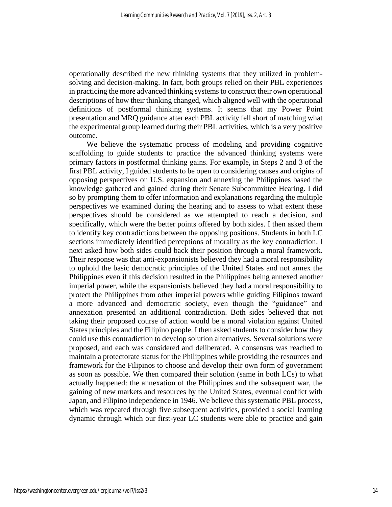operationally described the new thinking systems that they utilized in problemsolving and decision-making. In fact, both groups relied on their PBL experiences in practicing the more advanced thinking systems to construct their own operational descriptions of how their thinking changed, which aligned well with the operational definitions of postformal thinking systems. It seems that my Power Point presentation and MRQ guidance after each PBL activity fell short of matching what the experimental group learned during their PBL activities, which is a very positive outcome.

We believe the systematic process of modeling and providing cognitive scaffolding to guide students to practice the advanced thinking systems were primary factors in postformal thinking gains. For example, in Steps 2 and 3 of the first PBL activity, I guided students to be open to considering causes and origins of opposing perspectives on U.S. expansion and annexing the Philippines based the knowledge gathered and gained during their Senate Subcommittee Hearing. I did so by prompting them to offer information and explanations regarding the multiple perspectives we examined during the hearing and to assess to what extent these perspectives should be considered as we attempted to reach a decision, and specifically, which were the better points offered by both sides. I then asked them to identify key contradictions between the opposing positions. Students in both LC sections immediately identified perceptions of morality as the key contradiction. I next asked how both sides could back their position through a moral framework. Their response was that anti-expansionists believed they had a moral responsibility to uphold the basic democratic principles of the United States and not annex the Philippines even if this decision resulted in the Philippines being annexed another imperial power, while the expansionists believed they had a moral responsibility to protect the Philippines from other imperial powers while guiding Filipinos toward a more advanced and democratic society, even though the "guidance" and annexation presented an additional contradiction. Both sides believed that not taking their proposed course of action would be a moral violation against United States principles and the Filipino people. I then asked students to consider how they could use this contradiction to develop solution alternatives. Several solutions were proposed, and each was considered and deliberated. A consensus was reached to maintain a protectorate status for the Philippines while providing the resources and framework for the Filipinos to choose and develop their own form of government as soon as possible. We then compared their solution (same in both LCs) to what actually happened: the annexation of the Philippines and the subsequent war, the gaining of new markets and resources by the United States, eventual conflict with Japan, and Filipino independence in 1946. We believe this systematic PBL process, which was repeated through five subsequent activities, provided a social learning dynamic through which our first-year LC students were able to practice and gain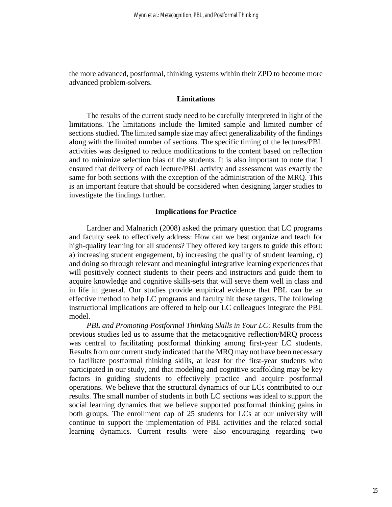the more advanced, postformal, thinking systems within their ZPD to become more advanced problem-solvers.

#### **Limitations**

The results of the current study need to be carefully interpreted in light of the limitations. The limitations include the limited sample and limited number of sections studied. The limited sample size may affect generalizability of the findings along with the limited number of sections. The specific timing of the lectures/PBL activities was designed to reduce modifications to the content based on reflection and to minimize selection bias of the students. It is also important to note that I ensured that delivery of each lecture/PBL activity and assessment was exactly the same for both sections with the exception of the administration of the MRQ. This is an important feature that should be considered when designing larger studies to investigate the findings further.

#### **Implications for Practice**

Lardner and Malnarich (2008) asked the primary question that LC programs and faculty seek to effectively address: How can we best organize and teach for high-quality learning for all students? They offered key targets to guide this effort: a) increasing student engagement, b) increasing the quality of student learning, c) and doing so through relevant and meaningful integrative learning experiences that will positively connect students to their peers and instructors and guide them to acquire knowledge and cognitive skills-sets that will serve them well in class and in life in general. Our studies provide empirical evidence that PBL can be an effective method to help LC programs and faculty hit these targets. The following instructional implications are offered to help our LC colleagues integrate the PBL model.

*PBL and Promoting Postformal Thinking Skills in Your LC*: Results from the previous studies led us to assume that the metacognitive reflection/MRQ process was central to facilitating postformal thinking among first-year LC students. Results from our current study indicated that the MRQ may not have been necessary to facilitate postformal thinking skills, at least for the first-year students who participated in our study, and that modeling and cognitive scaffolding may be key factors in guiding students to effectively practice and acquire postformal operations. We believe that the structural dynamics of our LCs contributed to our results. The small number of students in both LC sections was ideal to support the social learning dynamics that we believe supported postformal thinking gains in both groups. The enrollment cap of 25 students for LCs at our university will continue to support the implementation of PBL activities and the related social learning dynamics. Current results were also encouraging regarding two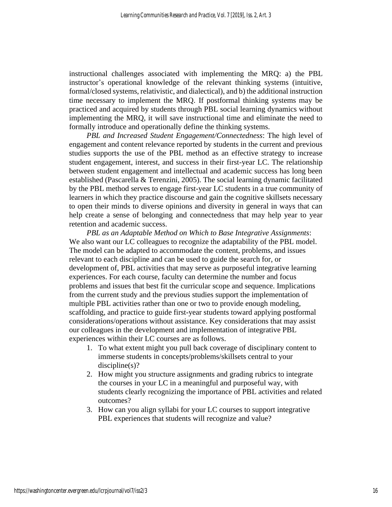instructional challenges associated with implementing the MRQ: a) the PBL instructor's operational knowledge of the relevant thinking systems (intuitive, formal/closed systems, relativistic, and dialectical), and b) the additional instruction time necessary to implement the MRQ. If postformal thinking systems may be practiced and acquired by students through PBL social learning dynamics without implementing the MRQ, it will save instructional time and eliminate the need to formally introduce and operationally define the thinking systems.

*PBL and Increased Student Engagement/Connectedness*: The high level of engagement and content relevance reported by students in the current and previous studies supports the use of the PBL method as an effective strategy to increase student engagement, interest, and success in their first-year LC. The relationship between student engagement and intellectual and academic success has long been established (Pascarella & Terenzini, 2005). The social learning dynamic facilitated by the PBL method serves to engage first-year LC students in a true community of learners in which they practice discourse and gain the cognitive skillsets necessary to open their minds to diverse opinions and diversity in general in ways that can help create a sense of belonging and connectedness that may help year to year retention and academic success.

*PBL as an Adaptable Method on Which to Base Integrative Assignments*: We also want our LC colleagues to recognize the adaptability of the PBL model. The model can be adapted to accommodate the content, problems, and issues relevant to each discipline and can be used to guide the search for, or development of, PBL activities that may serve as purposeful integrative learning experiences. For each course, faculty can determine the number and focus problems and issues that best fit the curricular scope and sequence. Implications from the current study and the previous studies support the implementation of multiple PBL activities rather than one or two to provide enough modeling, scaffolding, and practice to guide first-year students toward applying postformal considerations/operations without assistance. Key considerations that may assist our colleagues in the development and implementation of integrative PBL experiences within their LC courses are as follows.

- 1. To what extent might you pull back coverage of disciplinary content to immerse students in concepts/problems/skillsets central to your discipline(s)?
- 2. How might you structure assignments and grading rubrics to integrate the courses in your LC in a meaningful and purposeful way, with students clearly recognizing the importance of PBL activities and related outcomes?
- 3. How can you align syllabi for your LC courses to support integrative PBL experiences that students will recognize and value?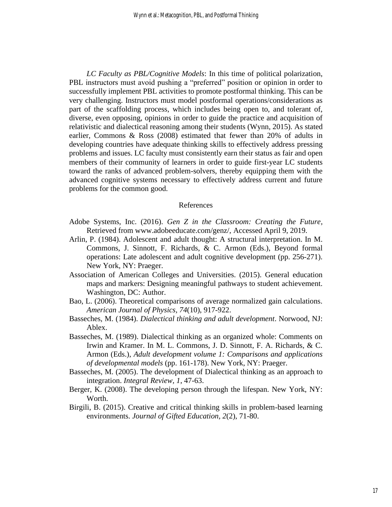*LC Faculty as PBL/Cognitive Models*: In this time of political polarization, PBL instructors must avoid pushing a "preferred" position or opinion in order to successfully implement PBL activities to promote postformal thinking. This can be very challenging. Instructors must model postformal operations/considerations as part of the scaffolding process, which includes being open to, and tolerant of, diverse, even opposing, opinions in order to guide the practice and acquisition of relativistic and dialectical reasoning among their students (Wynn, 2015). As stated earlier, Commons & Ross (2008) estimated that fewer than 20% of adults in developing countries have adequate thinking skills to effectively address pressing problems and issues. LC faculty must consistently earn their status as fair and open members of their community of learners in order to guide first-year LC students toward the ranks of advanced problem-solvers, thereby equipping them with the advanced cognitive systems necessary to effectively address current and future problems for the common good.

#### References

- Adobe Systems, Inc. (2016). *Gen Z in the Classroom: Creating the Future,* Retrieved from www.adobeeducate.com/genz/, Accessed April 9, 2019.
- Arlin, P. (1984). Adolescent and adult thought: A structural interpretation. In M. Commons, J. Sinnott, F. Richards, & C. Armon (Eds.), Beyond formal operations: Late adolescent and adult cognitive development (pp. 256-271). New York, NY: Praeger.
- Association of American Colleges and Universities. (2015). General education maps and markers: Designing meaningful pathways to student achievement. Washington, DC: Author.
- Bao, L. (2006). Theoretical comparisons of average normalized gain calculations. *American Journal of Physics, 74*(10), 917-922.
- Basseches, M. (1984). *Dialectical thinking and adult development*. Norwood, NJ: Ablex.
- Basseches, M. (1989). Dialectical thinking as an organized whole: Comments on Irwin and Kramer. In M. L. Commons, J. D. Sinnott, F. A. Richards, & C. Armon (Eds.), *Adult development volume 1: Comparisons and applications of developmental models* (pp. 161-178). New York, NY: Praeger.
- Basseches, M. (2005). The development of Dialectical thinking as an approach to integration. *Integral Review, 1*, 47-63.
- Berger, K. (2008). The developing person through the lifespan. New York, NY: Worth.
- Birgili, B. (2015). Creative and critical thinking skills in problem-based learning environments. *Journal of Gifted Education, 2*(2), 71-80.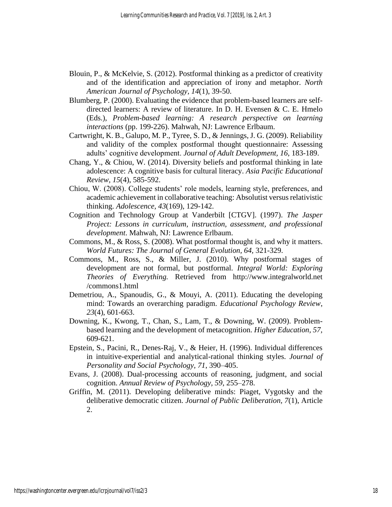- Blouin, P., & McKelvie, S. (2012). Postformal thinking as a predictor of creativity and of the identification and appreciation of irony and metaphor. *North American Journal of Psychology, 14*(1), 39-50.
- Blumberg, P. (2000). Evaluating the evidence that problem-based learners are selfdirected learners: A review of literature. In D. H. Evensen & C. E. Hmelo (Eds.), *Problem-based learning: A research perspective on learning interactions* (pp. 199-226). Mahwah, NJ: Lawrence Erlbaum.
- Cartwright, K. B., Galupo, M. P., Tyree, S. D., & Jennings, J. G. (2009). Reliability and validity of the complex postformal thought questionnaire: Assessing adults' cognitive development. *Journal of Adult Development, 16*, 183-189.
- Chang, Y., & Chiou, W. (2014). Diversity beliefs and postformal thinking in late adolescence: A cognitive basis for cultural literacy. *Asia Pacific Educational Review, 15*(4), 585-592.
- Chiou, W. (2008). College students' role models, learning style, preferences, and academic achievement in collaborative teaching: Absolutist versus relativistic thinking. *Adolescence, 43*(169), 129-142.
- Cognition and Technology Group at Vanderbilt [CTGV]. (1997). *The Jasper Project: Lessons in curriculum, instruction, assessment, and professional development*. Mahwah, NJ: Lawrence Erlbaum.
- Commons, M., & Ross, S. (2008). What postformal thought is, and why it matters. *World Futures: The Journal of General Evolution, 64,* 321-329.
- Commons, M., Ross, S., & Miller, J. (2010). Why postformal stages of development are not formal, but postformal. *Integral World: Exploring Theories of Everything.* Retrieved from http://www.integralworld.net /commons1.html
- Demetriou, A., Spanoudis, G., & Mouyi, A. (2011). Educating the developing mind: Towards an overarching paradigm. *Educational Psychology Review*, *23*(4), 601-663.
- Downing, K., Kwong, T., Chan, S., Lam, T., & Downing, W. (2009). Problembased learning and the development of metacognition. *Higher Education, 57,*  609-621.
- Epstein, S., Pacini, R., Denes-Raj, V., & Heier, H. (1996). Individual differences in intuitive-experiential and analytical-rational thinking styles. *Journal of Personality and Social Psychology, 71*, 390–405.
- Evans, J. (2008). Dual-processing accounts of reasoning, judgment, and social cognition. *Annual Review of Psychology, 59*, 255–278.
- Griffin, M. (2011). Developing deliberative minds: Piaget, Vygotsky and the deliberative democratic citizen. *Journal of Public Deliberation, 7*(1), Article 2.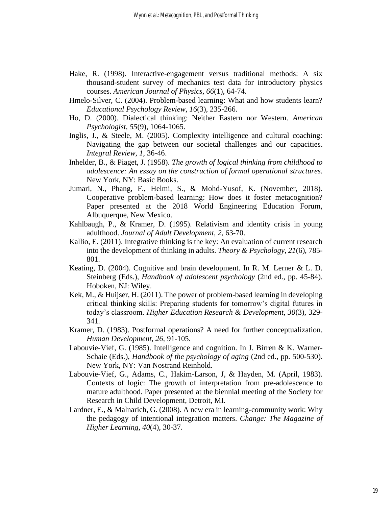- Hake, R. (1998). Interactive-engagement versus traditional methods: A six thousand-student survey of mechanics test data for introductory physics courses. *American Journal of Physics, 66*(1), 64-74.
- Hmelo-Silver, C. (2004). Problem-based learning: What and how students learn? *Educational Psychology Review, 16*(3), 235-266.
- Ho, D. (2000). Dialectical thinking: Neither Eastern nor Western. *American Psychologist, 55*(9), 1064-1065.
- Inglis, J., & Steele, M. (2005). Complexity intelligence and cultural coaching: Navigating the gap between our societal challenges and our capacities. *Integral Review, 1,* 36-46.
- Inhelder, B., & Piaget, J. (1958). *The growth of logical thinking from childhood to adolescence: An essay on the construction of formal operational structures*. New York, NY: Basic Books.
- Jumari, N., Phang, F., Helmi, S., & Mohd-Yusof, K. (November, 2018). Cooperative problem-based learning: How does it foster metacognition? Paper presented at the 2018 World Engineering Education Forum, Albuquerque, New Mexico.
- Kahlbaugh, P., & Kramer, D. (1995). Relativism and identity crisis in young adulthood. *Journal of Adult Development, 2*, 63-70.
- Kallio, E. (2011). Integrative thinking is the key: An evaluation of current research into the development of thinking in adults. *Theory & Psychology, 21*(6), 785- 801.
- Keating, D. (2004). Cognitive and brain development. In R. M. Lerner & L. D. Steinberg (Eds.), *Handbook of adolescent psychology* (2nd ed., pp. 45-84). Hoboken, NJ: Wiley.
- Kek, M., & Huijser, H. (2011). The power of problem-based learning in developing critical thinking skills: Preparing students for tomorrow's digital futures in today's classroom. *Higher Education Research & Development, 30*(3), 329- 341.
- Kramer, D. (1983). Postformal operations? A need for further conceptualization. *Human Development, 26,* 91-105.
- Labouvie-Vief, G. (1985). Intelligence and cognition. In J. Birren & K. Warner-Schaie (Eds.), *Handbook of the psychology of aging* (2nd ed., pp. 500-530). New York, NY: Van Nostrand Reinhold.
- Labouvie-Vief, G., Adams, C., Hakim-Larson, J, & Hayden, M. (April, 1983). Contexts of logic: The growth of interpretation from pre-adolescence to mature adulthood. Paper presented at the biennial meeting of the Society for Research in Child Development, Detroit, MI.
- Lardner, E., & Malnarich, G. (2008). A new era in learning-community work: Why the pedagogy of intentional integration matters. *Change: The Magazine of Higher Learning, 40*(4), 30-37.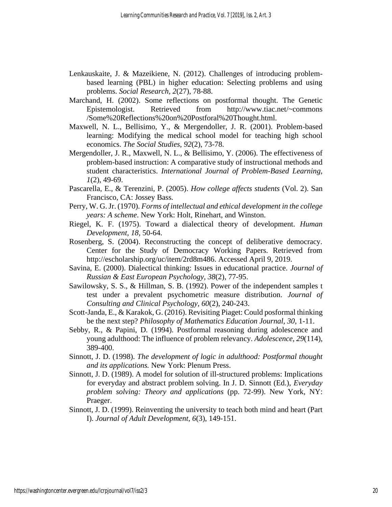- Lenkauskaite, J. & Mazeikiene, N. (2012). Challenges of introducing problembased learning (PBL) in higher education: Selecting problems and using problems. *Social Research, 2*(27), 78-88.
- Marchand, H. (2002). Some reflections on postformal thought. The Genetic Epistemologist. Retrieved from <http://www.tiac.net/~commons> /Some%20Reflections%20on%20Postforal%20Thought.html.
- Maxwell, N. L., Bellisimo, Y., & Mergendoller, J. R. (2001). Problem-based learning: Modifying the medical school model for teaching high school economics. *The Social Studies, 92*(2), 73-78.
- Mergendoller, J. R., Maxwell, N. L., & Bellisimo, Y. (2006). The effectiveness of problem-based instruction: A comparative study of instructional methods and student characteristics. *International Journal of Problem-Based Learning, 1*(2), 49-69.
- Pascarella, E., & Terenzini, P. (2005). *How college affects students* (Vol. 2). San Francisco, CA: Jossey Bass*.*
- Perry, W. G. Jr. (1970). *Forms of intellectual and ethical development in the college years: A scheme*. New York: Holt, Rinehart, and Winston.
- Riegel, K. F. (1975). Toward a dialectical theory of development. *Human Development, 18,* 50-64.
- Rosenberg, S. (2004). Reconstructing the concept of deliberative democracy. Center for the Study of Democracy Working Papers. Retrieved from [http://escholarship.org/uc/item/2rd8m486.](http://escholarship.org/uc/item/2rd8m486) Accessed April 9, 2019.
- Savina, E. (2000). Dialectical thinking: Issues in educational practice. *Journal of Russian & East European Psychology, 38*(2), 77-95.
- Sawilowsky, S. S., & Hillman, S. B. (1992). Power of the independent samples t test under a prevalent psychometric measure distribution. *Journal of Consulting and Clinical Psychology, 60*(2), 240-243.
- Scott-Janda, E., & Karakok, G. (2016). Revisiting Piaget: Could posformal thinking be the next step? *Philosophy of Mathematics Education Journal, 30*, 1-11.
- Sebby, R., & Papini, D. (1994). Postformal reasoning during adolescence and young adulthood: The influence of problem relevancy. *Adolescence, 29*(114), 389-400.
- Sinnott, J. D. (1998). *The development of logic in adulthood: Postformal thought and its applications.* New York: Plenum Press.
- Sinnott, J. D. (1989). A model for solution of ill-structured problems: Implications for everyday and abstract problem solving. In J. D. Sinnott (Ed.), *Everyday problem solving: Theory and applications* (pp. 72-99). New York, NY: Praeger.
- Sinnott, J. D. (1999). Reinventing the university to teach both mind and heart (Part I). *Journal of Adult Development, 6*(3), 149-151.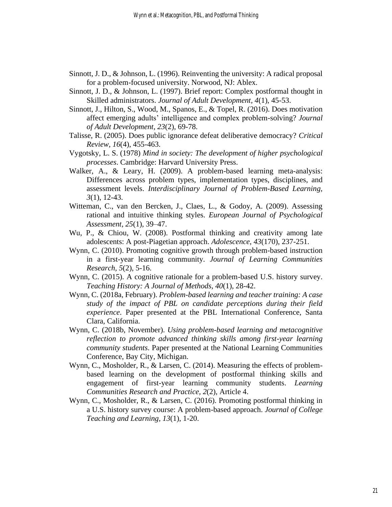- Sinnott, J. D., & Johnson, L. (1996). Reinventing the university: A radical proposal for a problem-focused university. Norwood, NJ: Ablex.
- Sinnott, J. D., & Johnson, L. (1997). Brief report: Complex postformal thought in Skilled administrators. *Journal of Adult Development, 4*(1), 45-53.
- Sinnott, J., Hilton, S., Wood, M., Spanos, E., & Topel, R. (2016). Does motivation affect emerging adults' intelligence and complex problem-solving? *Journal of Adult Development, 23*(2), 69-78.
- Talisse, R. (2005). Does public ignorance defeat deliberative democracy? *Critical Review, 16*(4), 455-463.
- Vygotsky, L. S. (1978) *Mind in society: The development of higher psychological processes*. Cambridge: Harvard University Press.
- Walker, A., & Leary, H. (2009). A problem-based learning meta-analysis: Differences across problem types, implementation types, disciplines, and assessment levels. *Interdisciplinary Journal of Problem-Based Learning, 3*(1), 12-43.
- Witteman, C., van den Bercken, J., Claes, L., & Godoy, A. (2009). Assessing rational and intuitive thinking styles. *European Journal of Psychological Assessment, 25*(1), 39–47.
- Wu, P., & Chiou, W. (2008). Postformal thinking and creativity among late adolescents: A post-Piagetian approach. *Adolescence*, *43*(170), 237-251.
- Wynn, C. (2010). Promoting cognitive growth through problem-based instruction in a first-year learning community. *Journal of Learning Communities Research, 5*(2), 5-16.
- Wynn, C. (2015). A cognitive rationale for a problem-based U.S. history survey. *Teaching History: A Journal of Methods, 40*(1), 28-42.
- Wynn, C. (2018a, February). *Problem-based learning and teacher training: A case study of the impact of PBL on candidate perceptions during their field experience*. Paper presented at the PBL International Conference, Santa Clara, California.
- Wynn, C. (2018b, November). *Using problem-based learning and metacognitive reflection to promote advanced thinking skills among first-year learning community students*. Paper presented at the National Learning Communities Conference, Bay City, Michigan.
- Wynn, C., Mosholder, R., & Larsen, C. (2014). Measuring the effects of problembased learning on the development of postformal thinking skills and engagement of first-year learning community students. *Learning Communities Research and Practice, 2*(2), Article 4.
- Wynn, C., Mosholder, R., & Larsen, C. (2016). Promoting postformal thinking in a U.S. history survey course: A problem-based approach. *Journal of College Teaching and Learning, 13*(1), 1-20.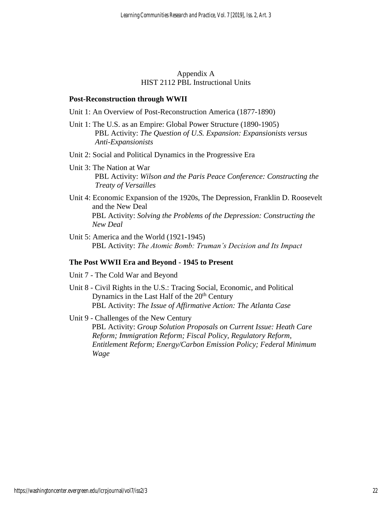#### Appendix A HIST 2112 PBL Instructional Units

#### **Post-Reconstruction through WWII**

- Unit 1: An Overview of Post-Reconstruction America (1877-1890)
- Unit 1: The U.S. as an Empire: Global Power Structure (1890-1905) PBL Activity: *The Question of U.S. Expansion: Expansionists versus Anti-Expansionists*
- Unit 2: Social and Political Dynamics in the Progressive Era
- Unit 3: The Nation at War PBL Activity: *Wilson and the Paris Peace Conference: Constructing the Treaty of Versailles*
- Unit 4: Economic Expansion of the 1920s, The Depression, Franklin D. Roosevelt and the New Deal PBL Activity: *Solving the Problems of the Depression: Constructing the New Deal*
- Unit 5: America and the World (1921-1945) PBL Activity: *The Atomic Bomb: Truman's Decision and Its Impact*

# **The Post WWII Era and Beyond - 1945 to Present**

- Unit 7 The Cold War and Beyond
- Unit 8 Civil Rights in the U.S.: Tracing Social, Economic, and Political Dynamics in the Last Half of the  $20<sup>th</sup>$  Century PBL Activity: *The Issue of Affirmative Action: The Atlanta Case*

Unit 9 - Challenges of the New Century

PBL Activity: *Group Solution Proposals on Current Issue: Heath Care Reform; Immigration Reform; Fiscal Policy, Regulatory Reform, Entitlement Reform; Energy/Carbon Emission Policy; Federal Minimum Wage*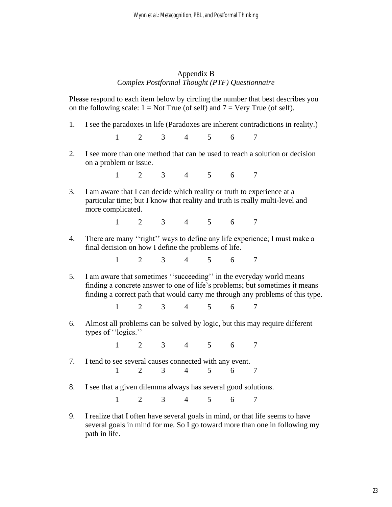# Appendix B *Complex Postformal Thought (PTF) Questionnaire*

Please respond to each item below by circling the number that best describes you on the following scale:  $1 = Not True$  (of self) and  $7 = Very True$  (of self).

1. I see the paradoxes in life (Paradoxes are inherent contradictions in reality.)

1 2 3 4 5 6 7

2. I see more than one method that can be used to reach a solution or decision on a problem or issue.

1 2 3 4 5 6 7

3. I am aware that I can decide which reality or truth to experience at a particular time; but I know that reality and truth is really multi-level and more complicated.

1 2 3 4 5 6 7

4. There are many ''right'' ways to define any life experience; I must make a final decision on how I define the problems of life.

1 2 3 4 5 6 7

5. I am aware that sometimes ''succeeding'' in the everyday world means finding a concrete answer to one of life's problems; but sometimes it means finding a correct path that would carry me through any problems of this type.

1 2 3 4 5 6 7

6. Almost all problems can be solved by logic, but this may require different types of ''logics.''

1 2 3 4 5 6 7

- 7. I tend to see several causes connected with any event. 1 2 3 4 5 6 7
- 8. I see that a given dilemma always has several good solutions.

1 2 3 4 5 6 7

9. I realize that I often have several goals in mind, or that life seems to have several goals in mind for me. So I go toward more than one in following my path in life.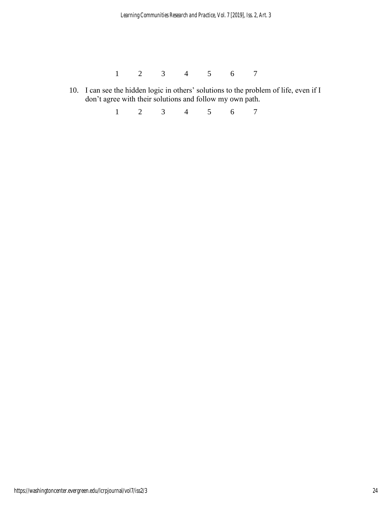1 2 3 4 5 6 7

10. I can see the hidden logic in others' solutions to the problem of life, even if I don't agree with their solutions and follow my own path.

1 2 3 4 5 6 7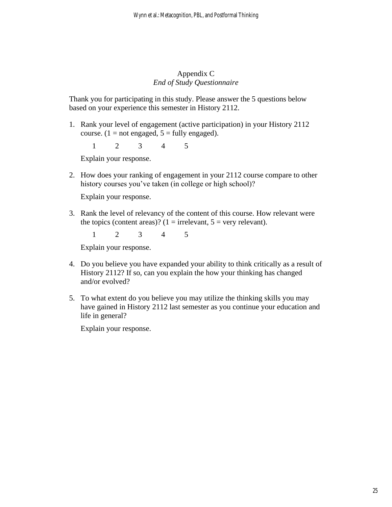# Appendix C *End of Study Questionnaire*

Thank you for participating in this study. Please answer the 5 questions below based on your experience this semester in History 2112.

1. Rank your level of engagement (active participation) in your History 2112 course. (1 = not engaged,  $5$  = fully engaged).

1 2 3 4 5

Explain your response.

2. How does your ranking of engagement in your 2112 course compare to other history courses you've taken (in college or high school)?

Explain your response.

3. Rank the level of relevancy of the content of this course. How relevant were the topics (content areas)? ( $1 =$  irrelevant,  $5 =$  very relevant).

1 2 3 4 5

Explain your response.

- 4. Do you believe you have expanded your ability to think critically as a result of History 2112? If so, can you explain the how your thinking has changed and/or evolved?
- 5. To what extent do you believe you may utilize the thinking skills you may have gained in History 2112 last semester as you continue your education and life in general?

Explain your response.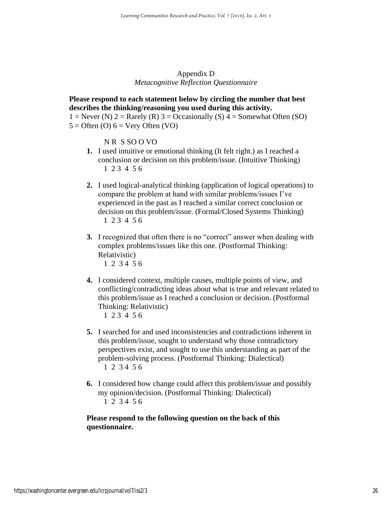Appendix D *Metacognitive Reflection Questionnaire*

## **Please respond to each statement below by circling the number that best describes the thinking/reasoning you used during this activity.**

 $1 =$  Never (N)  $2 =$  Rarely (R)  $3 =$  Occasionally (S)  $4 =$  Somewhat Often (SO)  $5 =$  Often (O)  $6 =$  Very Often (VO)

N R S SO O VO

- **1.** I used intuitive or emotional thinking (It felt right.) as I reached a conclusion or decision on this problem/issue. (Intuitive Thinking) 1 2 3 4 5 6
- **2.** I used logical-analytical thinking (application of logical operations) to compare the problem at hand with similar problems/issues I've experienced in the past as I reached a similar correct conclusion or decision on this problem/issue. (Formal/Closed Systems Thinking) 1 2 3 4 5 6
- **3.** I recognized that often there is no "correct" answer when dealing with complex problems/issues like this one. (Postformal Thinking: Relativistic) 1 2 3 4 5 6
- **4.** I considered context, multiple causes, multiple points of view, and conflicting/contradicting ideas about what is true and relevant related to this problem/issue as I reached a conclusion or decision. (Postformal Thinking: Relativistic)
	- 1 2 3 4 5 6
- **5.** I searched for and used inconsistencies and contradictions inherent in this problem/issue, sought to understand why those contradictory perspectives exist, and sought to use this understanding as part of the problem-solving process. (Postformal Thinking: Dialectical) 1 2 3 4 5 6
- **6.** I considered how change could affect this problem/issue and possibly my opinion/decision. (Postformal Thinking: Dialectical) 1 2 3 4 5 6

**Please respond to the following question on the back of this questionnaire.**